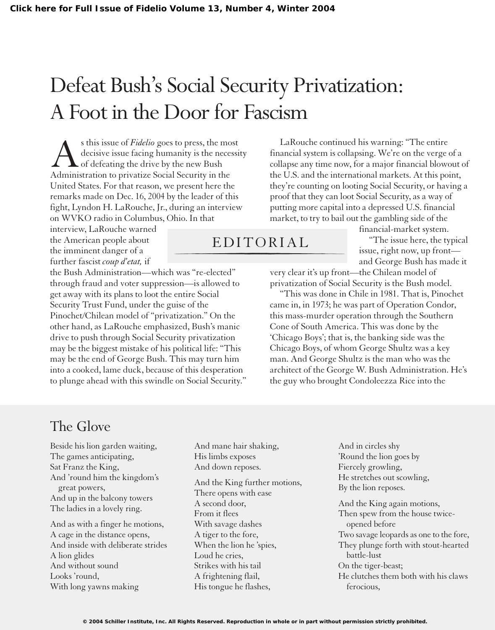## Defeat Bush's Social Security Privatization: A Foot in the Door for Fascism

s this issue of *Fidelio* goes to press, the most decisive issue facing humanity is the necessity of defeating the drive by the new Bush Administration to privatize Social Security in the United States. For that reason, we present here the remarks made on Dec. 16, 2004 by the leader of this fight, Lyndon H. LaRouche, Jr., during an interview on WVKO radio in Columbus, Ohio. In that

interview, LaRouche warned the American people about the imminent danger of a further fascist *coup d'etat,* if

the Bush Administration—which was "re-elected" through fraud and voter suppression—is allowed to get away with its plans to loot the entire Social Security Trust Fund, under the guise of the Pinochet/Chilean model of "privatization." On the other hand, as LaRouche emphasized, Bush's manic drive to push through Social Security privatization may be the biggest mistake of his political life: "This may be the end of George Bush. This may turn him into a cooked, lame duck, because of this desperation to plunge ahead with this swindle on Social Security."

LaRouche continued his warning: "The entire financial system is collapsing. We're on the verge of a collapse any time now, for a major financial blowout of the U.S. and the international markets. At this point, they're counting on looting Social Security, or having a proof that they can loot Social Security, as a way of putting more capital into a depressed U.S. financial market, to try to bail out the gambling side of the

## EDITORIAL

financial-market system.

"The issue here, the typical issue, right now, up front and George Bush has made it

very clear it's up front—the Chilean model of privatization of Social Security is the Bush model.

"This was done in Chile in 1981. That is, Pinochet came in, in 1973; he was part of Operation Condor, this mass-murder operation through the Southern Cone of South America. This was done by the 'Chicago Boys'; that is, the banking side was the Chicago Boys, of whom George Shultz was a key man. And George Shultz is the man who was the architect of the George W. Bush Administration. He's the guy who brought Condoleezza Rice into the

## The Glove

Beside his lion garden waiting, The games anticipating, Sat Franz the King, And 'round him the kingdom's great powers, And up in the balcony towers The ladies in a lovely ring.

And as with a finger he motions, A cage in the distance opens, And inside with deliberate strides A lion glides And without sound Looks 'round, With long yawns making

And mane hair shaking, His limbs exposes And down reposes.

And the King further motions, There opens with ease A second door, From it flees With savage dashes A tiger to the fore, When the lion he 'spies, Loud he cries, Strikes with his tail A frightening flail, His tongue he flashes,

And in circles shy 'Round the lion goes by Fiercely growling, He stretches out scowling, By the lion reposes.

And the King again motions, Then spew from the house twiceopened before Two savage leopards as one to the fore, They plunge forth with stout-hearted battle-lust On the tiger-beast; He clutches them both with his claws ferocious,